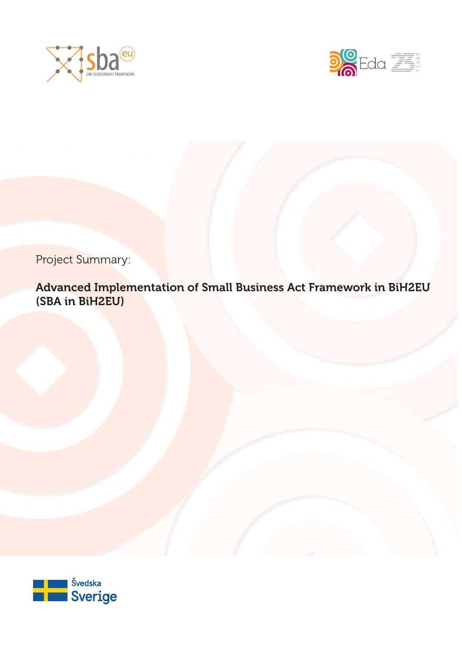



Project Summary:

Advanced Implementation of Small Business Act Framework in BiH2EU (SBA in BiH2EU)

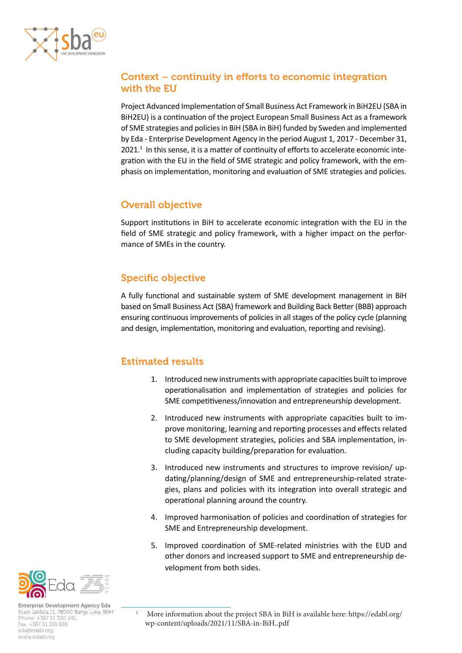

## Context – continuity in efforts to economic integration with the EU

Project Advanced Implementation of Small Business Act Framework in BiH2EU (SBA in BiH2EU) is a continuation of the project European Small Business Act as a framework of SME strategies and policies in BiH (SBA in BiH) funded by Sweden and implemented by Eda - Enterprise Development Agency in the period August 1, 2017 - December 31, 2021.<sup>1</sup> In this sense, it is a matter of continuity of efforts to accelerate economic integration with the EU in the field of SME strategic and policy framework, with the emphasis on implementation, monitoring and evaluation of SME strategies and policies.

### Overall objective

Support institutions in BiH to accelerate economic integration with the EU in the field of SME strategic and policy framework, with a higher impact on the performance of SMEs in the country.

# Specific objective

A fully functional and sustainable system of SME development management in BiH based on Small Business Act (SBA) framework and Building Back Better (BBB) approach ensuring continuous improvements of policies in all stages of the policy cycle (planning and design, implementation, monitoring and evaluation, reporting and revising).

## Estimated results

- 1. Introduced new instruments with appropriate capacities built to improve operationalisation and implementation of strategies and policies for SME competitiveness/innovation and entrepreneurship development.
- 2. Introduced new instruments with appropriate capacities built to improve monitoring, learning and reporting processes and effects related to SME development strategies, policies and SBA implementation, including capacity building/preparation for evaluation.
- 3. Introduced new instruments and structures to improve revision/ updating/planning/design of SME and entrepreneurship-related strategies, plans and policies with its integration into overall strategic and operational planning around the country.
- 4. Improved harmonisation of policies and coordination of strategies for SME and Entrepreneurship development.
- 5. Improved coordination of SME-related ministries with the EUD and other donors and increased support to SME and entrepreneurship development from both sides.



<sup>1</sup> More information about the project SBA in BiH is available here: https://edabl.org/ wp-content/uploads/2021/11/SBA-in-BiH..pdf

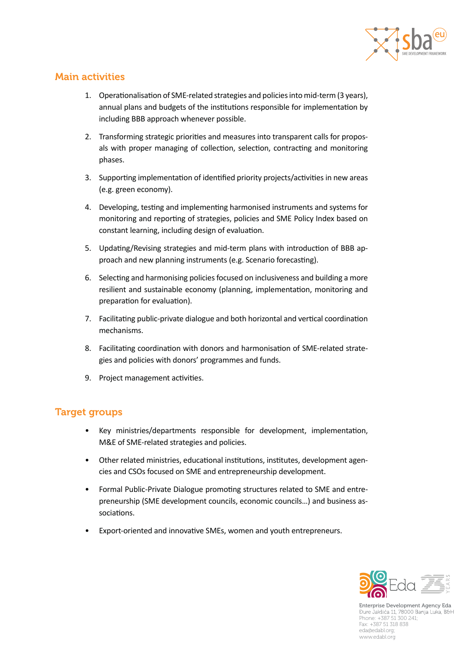

#### Main activities

- 1. Operationalisation of SME-related strategies and policies into mid-term (3 years), annual plans and budgets of the institutions responsible for implementation by including BBB approach whenever possible.
- 2. Transforming strategic priorities and measures into transparent calls for proposals with proper managing of collection, selection, contracting and monitoring phases.
- 3. Supporting implementation of identified priority projects/activities in new areas (e.g. green economy).
- 4. Developing, testing and implementing harmonised instruments and systems for monitoring and reporting of strategies, policies and SME Policy Index based on constant learning, including design of evaluation.
- 5. Updating/Revising strategies and mid-term plans with introduction of BBB approach and new planning instruments (e.g. Scenario forecasting).
- 6. Selecting and harmonising policies focused on inclusiveness and building a more resilient and sustainable economy (planning, implementation, monitoring and preparation for evaluation).
- 7. Facilitating public-private dialogue and both horizontal and vertical coordination mechanisms.
- 8. Facilitating coordination with donors and harmonisation of SME-related strategies and policies with donors' programmes and funds.
- 9. Project management activities.

## Target groups

- Key ministries/departments responsible for development, implementation, M&E of SME-related strategies and policies.
- Other related ministries, educational institutions, institutes, development agencies and CSOs focused on SME and entrepreneurship development.
- Formal Public-Private Dialogue promoting structures related to SME and entrepreneurship (SME development councils, economic councils…) and business associations.
- Export-oriented and innovative SMEs, women and youth entrepreneurs.



Enterprise Development Agency Eda<br>Dure Jakšića 11, 78000 Banja Luka, B&H Phone: +387 51 300 241; Fax: +387 51 318 838 eda@edabl.org; www.edabl.org